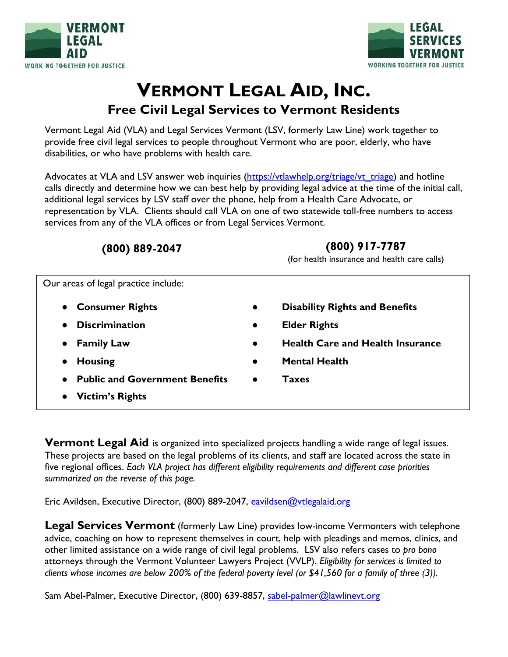



# **VERMONT LEGAL AID, INC. Free Civil Legal Services to Vermont Residents**

Vermont Legal Aid (VLA) and Legal Services Vermont (LSV, formerly Law Line) work together to provide free civil legal services to people throughout Vermont who are poor, elderly, who have disabilities, or who have problems with health care.

Advocates at VLA and LSV answer web inquiries [\(https://vtlawhelp.org/triage/vt\\_triage\)](https://vtlawhelp.org/triage/vt_triage) and hotline calls directly and determine how we can best help by providing legal advice at the time of the initial call, additional legal services by LSV staff over the phone, help from a Health Care Advocate, or representation by VLA. Clients should call VLA on one of two statewide toll-free numbers to access services from any of the VLA offices or from Legal Services Vermont.

## **(800) 889-2047 (800) 917-7787** (for health insurance and health care calls) Our areas of legal practice include: **Consumer Rights • • Disability Rights and Benefits** ● **Discrimination ● Elder Rights** ● **Family Law ● Health Care and Health Insurance** ● **Housing ● Mental Health** ● **Public and Government Benefits ● Taxes** ● **Victim's Rights**

**Vermont Legal Aid** is organized into specialized projects handling a wide range of legal issues. These projects are based on the legal problems of its clients, and staff are located across the state in five regional offices. *Each VLA project has different eligibility requirements and different case priorities summarized on the reverse of this page.*

Eric Avildsen, Executive Director, (800) 889-2047, [eavildsen@vtlegalaid.org](mailto:Eavildsen@vtlegalaid.org)

**Legal Services Vermont** (formerly Law Line) provides low-income Vermonters with telephone advice, coaching on how to represent themselves in court, help with pleadings and memos, clinics, and other limited assistance on a wide range of civil legal problems. LSV also refers cases to *pro bono* attorneys through the Vermont Volunteer Lawyers Project (VVLP). *Eligibility for services is limited to clients whose incomes are below 200% of the federal poverty level (or \$41,560 for a family of three (3)).* 

Sam Abel-Palmer, Executive Director, (800) 639-8857, [sabel-palmer@lawlinevt.org](mailto:sabel-palmer@lawlinevt.org)